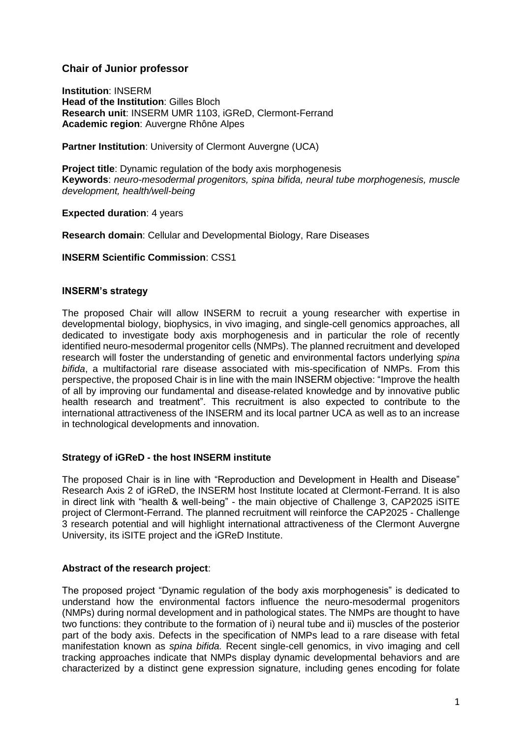# **Chair of Junior professor**

**Institution**: INSERM **Head of the Institution**: Gilles Bloch **Research unit**: INSERM UMR 1103, iGReD, Clermont-Ferrand **Academic region**: Auvergne Rhône Alpes

**Partner Institution: University of Clermont Auvergne (UCA)** 

**Project title**: Dynamic regulation of the body axis morphogenesis **Keywords**: *neuro-mesodermal progenitors, spina bifida, neural tube morphogenesis, muscle development, health/well-being*

**Expected duration**: 4 years

**Research domain**: Cellular and Developmental Biology, Rare Diseases

## **INSERM Scientific Commission**: CSS1

#### **INSERM's strategy**

The proposed Chair will allow INSERM to recruit a young researcher with expertise in developmental biology, biophysics, in vivo imaging, and single-cell genomics approaches, all dedicated to investigate body axis morphogenesis and in particular the role of recently identified neuro-mesodermal progenitor cells (NMPs). The planned recruitment and developed research will foster the understanding of genetic and environmental factors underlying *spina bifida*, a multifactorial rare disease associated with mis-specification of NMPs. From this perspective, the proposed Chair is in line with the main INSERM objective: "Improve the health of all by improving our fundamental and disease-related knowledge and by innovative public health research and treatment". This recruitment is also expected to contribute to the international attractiveness of the INSERM and its local partner UCA as well as to an increase in technological developments and innovation.

## **Strategy of iGReD - the host INSERM institute**

The proposed Chair is in line with "Reproduction and Development in Health and Disease" Research Axis 2 of iGReD, the INSERM host Institute located at Clermont-Ferrand. It is also in direct link with "health & well-being" - the main objective of Challenge 3, CAP2025 iSITE project of Clermont-Ferrand. The planned recruitment will reinforce the CAP2025 - Challenge 3 research potential and will highlight international attractiveness of the Clermont Auvergne University, its iSITE project and the iGReD Institute.

#### **Abstract of the research project**:

The proposed project "Dynamic regulation of the body axis morphogenesis" is dedicated to understand how the environmental factors influence the neuro-mesodermal progenitors (NMPs) during normal development and in pathological states. The NMPs are thought to have two functions: they contribute to the formation of i) neural tube and ii) muscles of the posterior part of the body axis. Defects in the specification of NMPs lead to a rare disease with fetal manifestation known as *spina bifida.* Recent single-cell genomics, in vivo imaging and cell tracking approaches indicate that NMPs display dynamic developmental behaviors and are characterized by a distinct gene expression signature, including genes encoding for folate